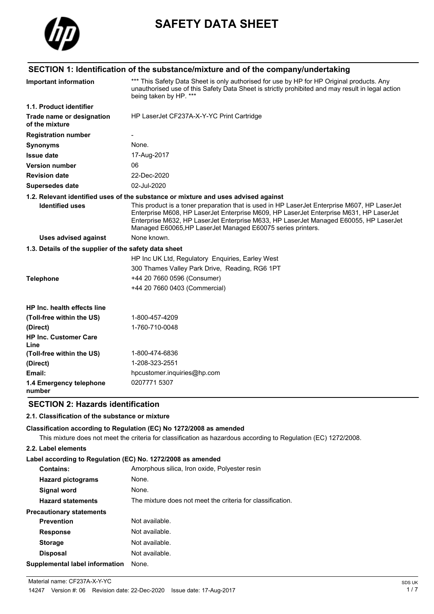

# **SAFETY DATA SHEET**

# **SECTION 1: Identification of the substance/mixture and of the company/undertaking**

| <b>Important information</b>                          | *** This Safety Data Sheet is only authorised for use by HP for HP Original products. Any<br>unauthorised use of this Safety Data Sheet is strictly prohibited and may result in legal action<br>being taken by HP. ***                                                                                                                        |
|-------------------------------------------------------|------------------------------------------------------------------------------------------------------------------------------------------------------------------------------------------------------------------------------------------------------------------------------------------------------------------------------------------------|
| 1.1. Product identifier                               |                                                                                                                                                                                                                                                                                                                                                |
| Trade name or designation<br>of the mixture           | HP LaserJet CF237A-X-Y-YC Print Cartridge                                                                                                                                                                                                                                                                                                      |
| <b>Registration number</b>                            |                                                                                                                                                                                                                                                                                                                                                |
| <b>Synonyms</b>                                       | None.                                                                                                                                                                                                                                                                                                                                          |
| <b>Issue date</b>                                     | 17-Aug-2017                                                                                                                                                                                                                                                                                                                                    |
| <b>Version number</b>                                 | 06                                                                                                                                                                                                                                                                                                                                             |
| <b>Revision date</b>                                  | 22-Dec-2020                                                                                                                                                                                                                                                                                                                                    |
| <b>Supersedes date</b>                                | 02-Jul-2020                                                                                                                                                                                                                                                                                                                                    |
|                                                       | 1.2. Relevant identified uses of the substance or mixture and uses advised against                                                                                                                                                                                                                                                             |
| <b>Identified uses</b>                                | This product is a toner preparation that is used in HP LaserJet Enterprise M607, HP LaserJet<br>Enterprise M608, HP LaserJet Enterprise M609, HP LaserJet Enterprise M631, HP LaserJet<br>Enterprise M632, HP LaserJet Enterprise M633, HP LaserJet Managed E60055, HP LaserJet<br>Managed E60065, HP LaserJet Managed E60075 series printers. |
| <b>Uses advised against</b>                           | None known.                                                                                                                                                                                                                                                                                                                                    |
| 1.3. Details of the supplier of the safety data sheet |                                                                                                                                                                                                                                                                                                                                                |
|                                                       | HP Inc UK Ltd, Regulatory Enquiries, Earley West                                                                                                                                                                                                                                                                                               |
|                                                       | 300 Thames Valley Park Drive, Reading, RG6 1PT                                                                                                                                                                                                                                                                                                 |
| <b>Telephone</b>                                      | +44 20 7660 0596 (Consumer)                                                                                                                                                                                                                                                                                                                    |
|                                                       | +44 20 7660 0403 (Commercial)                                                                                                                                                                                                                                                                                                                  |
| <b>HP Inc. health effects line</b>                    |                                                                                                                                                                                                                                                                                                                                                |
| (Toll-free within the US)                             | 1-800-457-4209                                                                                                                                                                                                                                                                                                                                 |
| (Direct)                                              | 1-760-710-0048                                                                                                                                                                                                                                                                                                                                 |
| <b>HP Inc. Customer Care</b><br>Line                  |                                                                                                                                                                                                                                                                                                                                                |
| (Toll-free within the US)                             | 1-800-474-6836                                                                                                                                                                                                                                                                                                                                 |
| (Direct)                                              | 1-208-323-2551                                                                                                                                                                                                                                                                                                                                 |
| Email:                                                | hpcustomer.inquiries@hp.com                                                                                                                                                                                                                                                                                                                    |
| 1.4 Emergency telephone<br>number                     | 02077715307                                                                                                                                                                                                                                                                                                                                    |

# **SECTION 2: Hazards identification**

# **2.1. Classification of the substance or mixture**

#### **Classification according to Regulation (EC) No 1272/2008 as amended**

This mixture does not meet the criteria for classification as hazardous according to Regulation (EC) 1272/2008.

### **2.2. Label elements**

#### **Label according to Regulation (EC) No. 1272/2008 as amended**

| <b>Contains:</b>                | Amorphous silica, Iron oxide, Polyester resin              |
|---------------------------------|------------------------------------------------------------|
| <b>Hazard pictograms</b>        | None.                                                      |
| Signal word                     | None.                                                      |
| <b>Hazard statements</b>        | The mixture does not meet the criteria for classification. |
| <b>Precautionary statements</b> |                                                            |
| <b>Prevention</b>               | Not available.                                             |
| <b>Response</b>                 | Not available.                                             |
| <b>Storage</b>                  | Not available.                                             |
| <b>Disposal</b>                 | Not available.                                             |
| Supplemental label information  | None.                                                      |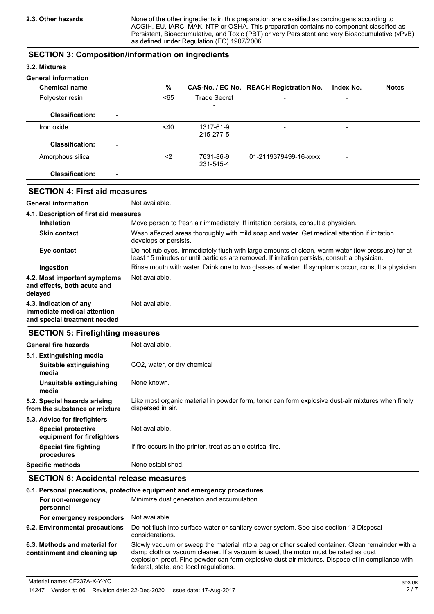None of the other ingredients in this preparation are classified as carcinogens according to ACGIH, EU, IARC, MAK, NTP or OSHA. This preparation contains no component classified as Persistent, Bioaccumulative, and Toxic (PBT) or very Persistent and very Bioaccumulative (vPvB) as defined under Regulation (EC) 1907/2006.

# **SECTION 3: Composition/information on ingredients**

### **3.2. Mixtures**

### **General information**

| <b>Chemical name</b>                               | %      |                          | CAS-No. / EC No. REACH Registration No. | Index No.                | <b>Notes</b> |
|----------------------------------------------------|--------|--------------------------|-----------------------------------------|--------------------------|--------------|
| Polyester resin                                    | $65$   | <b>Trade Secret</b>      | $\overline{\phantom{0}}$                | $\overline{\phantom{0}}$ |              |
| <b>Classification:</b><br>$\overline{\phantom{0}}$ |        | $\overline{\phantom{0}}$ |                                         |                          |              |
| Iron oxide                                         | $<$ 40 | 1317-61-9<br>215-277-5   | $\overline{\phantom{0}}$                | -                        |              |
| <b>Classification:</b><br>$\overline{\phantom{0}}$ |        |                          |                                         |                          |              |
| Amorphous silica                                   | <2     | 7631-86-9<br>231-545-4   | 01-2119379499-16-xxxx                   | -                        |              |
| <b>Classification:</b><br>$\overline{\phantom{a}}$ |        |                          |                                         |                          |              |

# **SECTION 4: First aid measures**

**General information** Not available.

| 4.1. Description of first aid measures                                                |                                                                                                                                                                                                   |
|---------------------------------------------------------------------------------------|---------------------------------------------------------------------------------------------------------------------------------------------------------------------------------------------------|
| <b>Inhalation</b>                                                                     | Move person to fresh air immediately. If irritation persists, consult a physician.                                                                                                                |
| <b>Skin contact</b>                                                                   | Wash affected areas thoroughly with mild soap and water. Get medical attention if irritation<br>develops or persists.                                                                             |
| Eye contact                                                                           | Do not rub eyes. Immediately flush with large amounts of clean, warm water (low pressure) for at<br>least 15 minutes or until particles are removed. If irritation persists, consult a physician. |
| Ingestion                                                                             | Rinse mouth with water. Drink one to two glasses of water. If symptoms occur, consult a physician.                                                                                                |
| 4.2. Most important symptoms<br>and effects, both acute and<br>delayed                | Not available.                                                                                                                                                                                    |
| 4.3. Indication of any<br>immediate medical attention<br>and special treatment needed | Not available.                                                                                                                                                                                    |

# **SECTION 5: Firefighting measures**

| General fire hazards                                          | Not available.                                                                                                         |
|---------------------------------------------------------------|------------------------------------------------------------------------------------------------------------------------|
| 5.1. Extinguishing media                                      |                                                                                                                        |
| Suitable extinguishing<br>media                               | CO <sub>2</sub> , water, or dry chemical                                                                               |
| Unsuitable extinguishing<br>media                             | None known.                                                                                                            |
| 5.2. Special hazards arising<br>from the substance or mixture | Like most organic material in powder form, toner can form explosive dust-air mixtures when finely<br>dispersed in air. |
| 5.3. Advice for firefighters                                  |                                                                                                                        |
| <b>Special protective</b><br>equipment for firefighters       | Not available.                                                                                                         |
| Special fire fighting<br>procedures                           | If fire occurs in the printer, treat as an electrical fire.                                                            |
| Specific methods                                              | None established.                                                                                                      |

# **SECTION 6: Accidental release measures**

|                                                              | 6.1. Personal precautions, protective equipment and emergency procedures                                                                                                                                                                                                                                                             |
|--------------------------------------------------------------|--------------------------------------------------------------------------------------------------------------------------------------------------------------------------------------------------------------------------------------------------------------------------------------------------------------------------------------|
| For non-emergency<br>personnel                               | Minimize dust generation and accumulation.                                                                                                                                                                                                                                                                                           |
| For emergency responders                                     | Not available.                                                                                                                                                                                                                                                                                                                       |
| 6.2. Environmental precautions                               | Do not flush into surface water or sanitary sewer system. See also section 13 Disposal<br>considerations.                                                                                                                                                                                                                            |
| 6.3. Methods and material for<br>containment and cleaning up | Slowly vacuum or sweep the material into a bag or other sealed container. Clean remainder with a<br>damp cloth or vacuum cleaner. If a vacuum is used, the motor must be rated as dust<br>explosion-proof. Fine powder can form explosive dust-air mixtures. Dispose of in compliance with<br>federal, state, and local regulations. |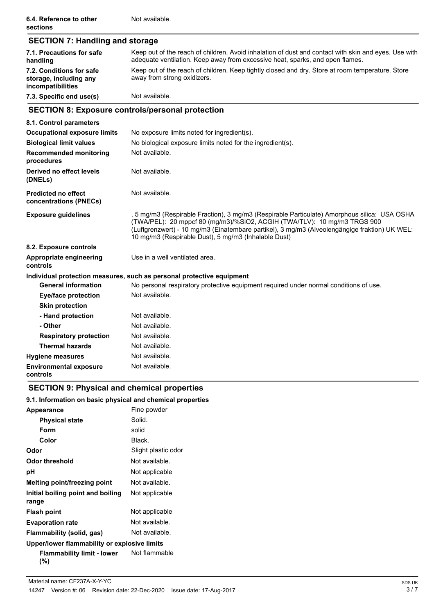| <b>SECTION 7: Handling and storage</b>                                  |                                                                                                                                                                                                                                                                                                                                   |
|-------------------------------------------------------------------------|-----------------------------------------------------------------------------------------------------------------------------------------------------------------------------------------------------------------------------------------------------------------------------------------------------------------------------------|
| 7.1. Precautions for safe<br>handling                                   | Keep out of the reach of children. Avoid inhalation of dust and contact with skin and eyes. Use with<br>adequate ventilation. Keep away from excessive heat, sparks, and open flames.                                                                                                                                             |
| 7.2. Conditions for safe<br>storage, including any<br>incompatibilities | Keep out of the reach of children. Keep tightly closed and dry. Store at room temperature. Store<br>away from strong oxidizers.                                                                                                                                                                                                   |
| 7.3. Specific end use(s)                                                | Not available.                                                                                                                                                                                                                                                                                                                    |
|                                                                         | <b>SECTION 8: Exposure controls/personal protection</b>                                                                                                                                                                                                                                                                           |
| 8.1. Control parameters                                                 |                                                                                                                                                                                                                                                                                                                                   |
| <b>Occupational exposure limits</b>                                     | No exposure limits noted for ingredient(s).                                                                                                                                                                                                                                                                                       |
| <b>Biological limit values</b>                                          | No biological exposure limits noted for the ingredient(s).                                                                                                                                                                                                                                                                        |
| <b>Recommended monitoring</b><br>procedures                             | Not available.                                                                                                                                                                                                                                                                                                                    |
| Derived no effect levels<br>(DNELs)                                     | Not available.                                                                                                                                                                                                                                                                                                                    |
| <b>Predicted no effect</b><br>concentrations (PNECs)                    | Not available.                                                                                                                                                                                                                                                                                                                    |
| <b>Exposure guidelines</b>                                              | , 5 mg/m3 (Respirable Fraction), 3 mg/m3 (Respirable Particulate) Amorphous silica: USA OSHA<br>(TWA/PEL): 20 mppcf 80 (mg/m3)/%SiO2, ACGIH (TWA/TLV): 10 mg/m3 TRGS 900<br>(Luftgrenzwert) - 10 mg/m3 (Einatembare partikel), 3 mg/m3 (Alveolengängige fraktion) UK WEL:<br>10 mg/m3 (Respirable Dust), 5 mg/m3 (Inhalable Dust) |
| 8.2. Exposure controls                                                  |                                                                                                                                                                                                                                                                                                                                   |
| Appropriate engineering<br>controls                                     | Use in a well ventilated area.                                                                                                                                                                                                                                                                                                    |
|                                                                         | Individual protection measures, such as personal protective equipment                                                                                                                                                                                                                                                             |
| <b>General information</b>                                              | No personal respiratory protective equipment required under normal conditions of use.                                                                                                                                                                                                                                             |
| <b>Eye/face protection</b>                                              | Not available.                                                                                                                                                                                                                                                                                                                    |
| <b>Skin protection</b>                                                  |                                                                                                                                                                                                                                                                                                                                   |
| - Hand protection                                                       | Not available.                                                                                                                                                                                                                                                                                                                    |
| - Other                                                                 | Not available.                                                                                                                                                                                                                                                                                                                    |
| <b>Respiratory protection</b>                                           | Not available.                                                                                                                                                                                                                                                                                                                    |
| <b>Thermal hazards</b>                                                  | Not available.                                                                                                                                                                                                                                                                                                                    |
| <b>Hygiene measures</b>                                                 | Not available.                                                                                                                                                                                                                                                                                                                    |
| <b>Environmental exposure</b><br>controls                               | Not available.                                                                                                                                                                                                                                                                                                                    |

# **SECTION 9: Physical and chemical properties**

# **9.1. Information on basic physical and chemical properties**

| <b>Appearance</b>                            | Fine powder         |
|----------------------------------------------|---------------------|
| <b>Physical state</b>                        | Solid.              |
| Form                                         | solid               |
| Color                                        | Black.              |
| Odor                                         | Slight plastic odor |
| Odor threshold                               | Not available.      |
| рH                                           | Not applicable      |
| Melting point/freezing point                 | Not available.      |
| Initial boiling point and boiling<br>range   | Not applicable      |
| <b>Flash point</b>                           | Not applicable      |
| <b>Evaporation rate</b>                      | Not available.      |
| Flammability (solid, gas)                    | Not available.      |
| Upper/lower flammability or explosive limits |                     |
| Flammability limit - lower<br>(%)            | Not flammable       |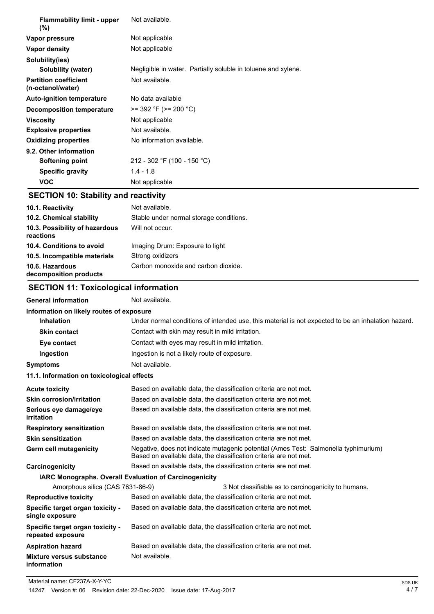| <b>Flammability limit - upper</b><br>(%)          | Not available.                                                |
|---------------------------------------------------|---------------------------------------------------------------|
| Vapor pressure                                    | Not applicable                                                |
| Vapor density                                     | Not applicable                                                |
| Solubility(ies)                                   |                                                               |
| Solubility (water)                                | Negligible in water. Partially soluble in toluene and xylene. |
| <b>Partition coefficient</b><br>(n-octanol/water) | Not available.                                                |
| <b>Auto-ignition temperature</b>                  | No data available                                             |
| Decomposition temperature                         | $>= 392 \text{ }^{\circ}F (>= 200 \text{ }^{\circ}C)$         |
| <b>Viscosity</b>                                  | Not applicable                                                |
| <b>Explosive properties</b>                       | Not available.                                                |
| <b>Oxidizing properties</b>                       | No information available.                                     |
| 9.2. Other information                            |                                                               |
| Softening point                                   | 212 - 302 °F (100 - 150 °C)                                   |
| <b>Specific gravity</b>                           | $1.4 - 1.8$                                                   |
| <b>VOC</b>                                        | Not applicable                                                |

# **SECTION 10: Stability and reactivity**

| 10.1. Reactivity                            | Not available.                          |
|---------------------------------------------|-----------------------------------------|
| 10.2. Chemical stability                    | Stable under normal storage conditions. |
| 10.3. Possibility of hazardous<br>reactions | Will not occur.                         |
| 10.4. Conditions to avoid                   | Imaging Drum: Exposure to light         |
| 10.5. Incompatible materials                | Strong oxidizers                        |
| 10.6. Hazardous<br>decomposition products   | Carbon monoxide and carbon dioxide.     |

# **SECTION 11: Toxicological information**

| <b>General information</b>                             | Not available.                                                                                                                                           |
|--------------------------------------------------------|----------------------------------------------------------------------------------------------------------------------------------------------------------|
| Information on likely routes of exposure               |                                                                                                                                                          |
| <b>Inhalation</b>                                      | Under normal conditions of intended use, this material is not expected to be an inhalation hazard.                                                       |
| <b>Skin contact</b>                                    | Contact with skin may result in mild irritation.                                                                                                         |
| Eye contact                                            | Contact with eyes may result in mild irritation.                                                                                                         |
| Ingestion                                              | Ingestion is not a likely route of exposure.                                                                                                             |
| <b>Symptoms</b>                                        | Not available.                                                                                                                                           |
| 11.1. Information on toxicological effects             |                                                                                                                                                          |
| <b>Acute toxicity</b>                                  | Based on available data, the classification criteria are not met.                                                                                        |
| Skin corrosion/irritation                              | Based on available data, the classification criteria are not met.                                                                                        |
| Serious eye damage/eye<br>irritation                   | Based on available data, the classification criteria are not met.                                                                                        |
| <b>Respiratory sensitization</b>                       | Based on available data, the classification criteria are not met.                                                                                        |
| <b>Skin sensitization</b>                              | Based on available data, the classification criteria are not met.                                                                                        |
| Germ cell mutagenicity                                 | Negative, does not indicate mutagenic potential (Ames Test: Salmonella typhimurium)<br>Based on available data, the classification criteria are not met. |
| Carcinogenicity                                        | Based on available data, the classification criteria are not met.                                                                                        |
| IARC Monographs. Overall Evaluation of Carcinogenicity |                                                                                                                                                          |
| Amorphous silica (CAS 7631-86-9)                       | 3 Not classifiable as to carcinogenicity to humans.                                                                                                      |
| <b>Reproductive toxicity</b>                           | Based on available data, the classification criteria are not met.                                                                                        |
| Specific target organ toxicity -<br>single exposure    | Based on available data, the classification criteria are not met.                                                                                        |
| Specific target organ toxicity -<br>repeated exposure  | Based on available data, the classification criteria are not met.                                                                                        |
| <b>Aspiration hazard</b>                               | Based on available data, the classification criteria are not met.                                                                                        |
| Mixture versus substance<br>information                | Not available.                                                                                                                                           |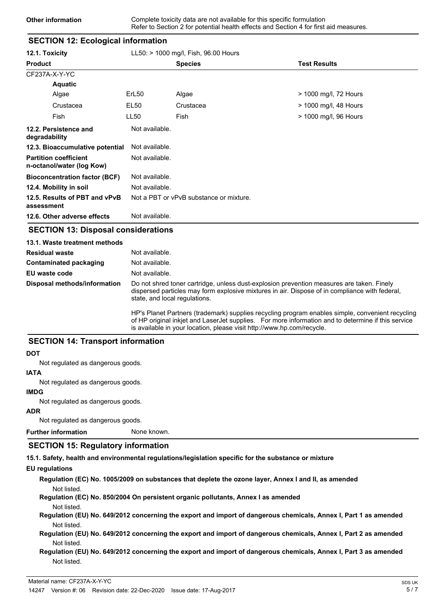# **SECTION 12: Ecological information 12.1. Toxicity** LL50: > 1000 mg/l, Fish, 96.00 Hours **Product Species Test Results** CF237A-X-Y-YC **Aquatic** Algae ErL50 Algae > 1000 mg/l, 72 Hours Crustacea EL50 Crustacea > 1000 mg/l, 48 Hours Fish LL50 Fish > 1000 mg/l, 96 Hours **12.2. Persistence and Mot available. degradability 12.3. Bioaccumulative potential** Not available. **Partition coefficient n-octanol/water (log Kow)** Not available. **Bioconcentration factor (BCF)** Not available. **12.4. Mobility in soil** Not available. **12.5. Results of PBT and vPvB** Not a PBT or vPvB substance or mixture. **assessment 12.6. Other adverse effects** Not available.

### **SECTION 13: Disposal considerations**

| 13.1. Waste treatment methods |                                                                                                                                                                                                                              |
|-------------------------------|------------------------------------------------------------------------------------------------------------------------------------------------------------------------------------------------------------------------------|
| <b>Residual waste</b>         | Not available.                                                                                                                                                                                                               |
| Contaminated packaging        | Not available.                                                                                                                                                                                                               |
| EU waste code                 | Not available.                                                                                                                                                                                                               |
| Disposal methods/information  | Do not shred toner cartridge, unless dust-explosion prevention measures are taken. Finely<br>dispersed particles may form explosive mixtures in air. Dispose of in compliance with federal,<br>state, and local regulations. |
|                               | HP's Planet Partners (trademark) supplies recycling program enables simple, convenient recycling                                                                                                                             |

HP's Planet Partners (trademark) supplies recycling program enables simple, convenient recycling of HP original inkjet and LaserJet supplies. For more information and to determine if this service is available in your location, please visit http://www.hp.com/recycle.

# **SECTION 14: Transport information**

#### **DOT**

Not regulated as dangerous goods.

### **IATA**

Not regulated as dangerous goods.

#### **IMDG**

Not regulated as dangerous goods.

### **ADR**

Not regulated as dangerous goods.

**Further information** None known.

# **SECTION 15: Regulatory information**

**15.1. Safety, health and environmental regulations/legislation specific for the substance or mixture**

### **EU regulations**

**Regulation (EC) No. 1005/2009 on substances that deplete the ozone layer, Annex I and II, as amended** Not listed.

**Regulation (EC) No. 850/2004 On persistent organic pollutants, Annex I as amended**

Not listed.

**Regulation (EU) No. 649/2012 concerning the export and import of dangerous chemicals, Annex I, Part 1 as amended** Not listed.

**Regulation (EU) No. 649/2012 concerning the export and import of dangerous chemicals, Annex I, Part 2 as amended** Not listed.

### **Regulation (EU) No. 649/2012 concerning the export and import of dangerous chemicals, Annex I, Part 3 as amended** Not listed.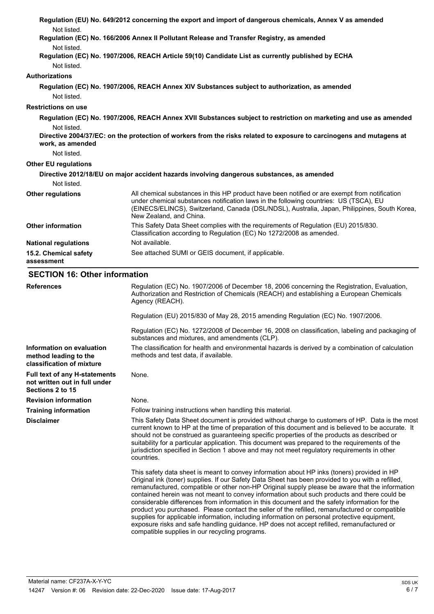|                                                                                           | Regulation (EU) No. 649/2012 concerning the export and import of dangerous chemicals, Annex V as amended                                                                                                                                                                                                                                                                                                                                                                                                                                                                                                                                                                                                                                                                                                                                             |
|-------------------------------------------------------------------------------------------|------------------------------------------------------------------------------------------------------------------------------------------------------------------------------------------------------------------------------------------------------------------------------------------------------------------------------------------------------------------------------------------------------------------------------------------------------------------------------------------------------------------------------------------------------------------------------------------------------------------------------------------------------------------------------------------------------------------------------------------------------------------------------------------------------------------------------------------------------|
| Not listed.<br>Not listed.                                                                | Regulation (EC) No. 166/2006 Annex II Pollutant Release and Transfer Registry, as amended<br>Regulation (EC) No. 1907/2006, REACH Article 59(10) Candidate List as currently published by ECHA                                                                                                                                                                                                                                                                                                                                                                                                                                                                                                                                                                                                                                                       |
| Not listed.                                                                               |                                                                                                                                                                                                                                                                                                                                                                                                                                                                                                                                                                                                                                                                                                                                                                                                                                                      |
| <b>Authorizations</b>                                                                     |                                                                                                                                                                                                                                                                                                                                                                                                                                                                                                                                                                                                                                                                                                                                                                                                                                                      |
| Not listed.                                                                               | Regulation (EC) No. 1907/2006, REACH Annex XIV Substances subject to authorization, as amended                                                                                                                                                                                                                                                                                                                                                                                                                                                                                                                                                                                                                                                                                                                                                       |
| <b>Restrictions on use</b>                                                                |                                                                                                                                                                                                                                                                                                                                                                                                                                                                                                                                                                                                                                                                                                                                                                                                                                                      |
|                                                                                           | Regulation (EC) No. 1907/2006, REACH Annex XVII Substances subject to restriction on marketing and use as amended                                                                                                                                                                                                                                                                                                                                                                                                                                                                                                                                                                                                                                                                                                                                    |
| Not listed.<br>work, as amended                                                           | Directive 2004/37/EC: on the protection of workers from the risks related to exposure to carcinogens and mutagens at                                                                                                                                                                                                                                                                                                                                                                                                                                                                                                                                                                                                                                                                                                                                 |
| Not listed.                                                                               |                                                                                                                                                                                                                                                                                                                                                                                                                                                                                                                                                                                                                                                                                                                                                                                                                                                      |
| <b>Other EU regulations</b>                                                               |                                                                                                                                                                                                                                                                                                                                                                                                                                                                                                                                                                                                                                                                                                                                                                                                                                                      |
|                                                                                           | Directive 2012/18/EU on major accident hazards involving dangerous substances, as amended                                                                                                                                                                                                                                                                                                                                                                                                                                                                                                                                                                                                                                                                                                                                                            |
| Not listed.                                                                               |                                                                                                                                                                                                                                                                                                                                                                                                                                                                                                                                                                                                                                                                                                                                                                                                                                                      |
| <b>Other regulations</b>                                                                  | All chemical substances in this HP product have been notified or are exempt from notification<br>under chemical substances notification laws in the following countries: US (TSCA), EU<br>(EINECS/ELINCS), Switzerland, Canada (DSL/NDSL), Australia, Japan, Philippines, South Korea,<br>New Zealand, and China.                                                                                                                                                                                                                                                                                                                                                                                                                                                                                                                                    |
| <b>Other information</b>                                                                  | This Safety Data Sheet complies with the requirements of Regulation (EU) 2015/830.<br>Classification according to Regulation (EC) No 1272/2008 as amended.                                                                                                                                                                                                                                                                                                                                                                                                                                                                                                                                                                                                                                                                                           |
| <b>National regulations</b>                                                               | Not available.                                                                                                                                                                                                                                                                                                                                                                                                                                                                                                                                                                                                                                                                                                                                                                                                                                       |
| 15.2. Chemical safety<br>assessment                                                       | See attached SUMI or GEIS document, if applicable.                                                                                                                                                                                                                                                                                                                                                                                                                                                                                                                                                                                                                                                                                                                                                                                                   |
| <b>SECTION 16: Other information</b>                                                      |                                                                                                                                                                                                                                                                                                                                                                                                                                                                                                                                                                                                                                                                                                                                                                                                                                                      |
| <b>References</b>                                                                         | Regulation (EC) No. 1907/2006 of December 18, 2006 concerning the Registration, Evaluation,<br>Authorization and Restriction of Chemicals (REACH) and establishing a European Chemicals<br>Agency (REACH).                                                                                                                                                                                                                                                                                                                                                                                                                                                                                                                                                                                                                                           |
|                                                                                           | Regulation (EU) 2015/830 of May 28, 2015 amending Regulation (EC) No. 1907/2006.                                                                                                                                                                                                                                                                                                                                                                                                                                                                                                                                                                                                                                                                                                                                                                     |
|                                                                                           | Regulation (EC) No. 1272/2008 of December 16, 2008 on classification, labeling and packaging of<br>substances and mixtures, and amendments (CLP).                                                                                                                                                                                                                                                                                                                                                                                                                                                                                                                                                                                                                                                                                                    |
| Information on evaluation<br>method leading to the<br>classification of mixture           | The classification for health and environmental hazards is derived by a combination of calculation<br>methods and test data, if available.                                                                                                                                                                                                                                                                                                                                                                                                                                                                                                                                                                                                                                                                                                           |
| <b>Full text of any H-statements</b><br>not written out in full under<br>Sections 2 to 15 | None.                                                                                                                                                                                                                                                                                                                                                                                                                                                                                                                                                                                                                                                                                                                                                                                                                                                |
| <b>Revision information</b>                                                               | None.                                                                                                                                                                                                                                                                                                                                                                                                                                                                                                                                                                                                                                                                                                                                                                                                                                                |
| <b>Training information</b>                                                               | Follow training instructions when handling this material.                                                                                                                                                                                                                                                                                                                                                                                                                                                                                                                                                                                                                                                                                                                                                                                            |
| <b>Disclaimer</b>                                                                         | This Safety Data Sheet document is provided without charge to customers of HP. Data is the most<br>current known to HP at the time of preparation of this document and is believed to be accurate. It<br>should not be construed as guaranteeing specific properties of the products as described or<br>suitability for a particular application. This document was prepared to the requirements of the<br>jurisdiction specified in Section 1 above and may not meet regulatory requirements in other<br>countries.                                                                                                                                                                                                                                                                                                                                 |
|                                                                                           | This safety data sheet is meant to convey information about HP inks (toners) provided in HP<br>Original ink (toner) supplies. If our Safety Data Sheet has been provided to you with a refilled,<br>remanufactured, compatible or other non-HP Original supply please be aware that the information<br>contained herein was not meant to convey information about such products and there could be<br>considerable differences from information in this document and the safety information for the<br>product you purchased. Please contact the seller of the refilled, remanufactured or compatible<br>supplies for applicable information, including information on personal protective equipment,<br>exposure risks and safe handling guidance. HP does not accept refilled, remanufactured or<br>compatible supplies in our recycling programs. |